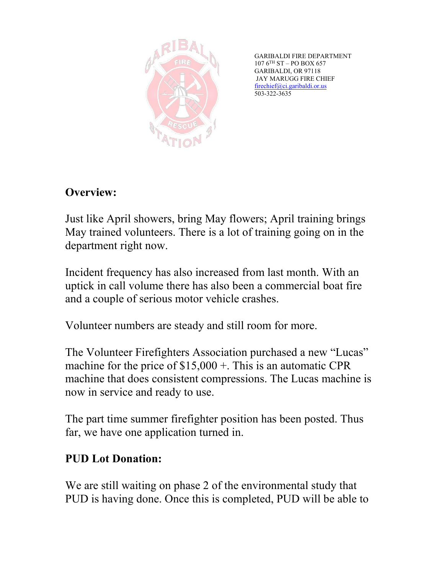

GARIBALDI FIRE DEPARTMENT  $107$   $6^{\mathrm{TH}}$  ST – PO BOX 657 GARIBALDI, OR 97118 JAY MARUGG FIRE CHIEF [firechief@ci.garibaldi.or.us](mailto:firechief@ci.garibaldi.or.us)  503-322-3635

# **Overview:**

Just like April showers, bring May flowers; April training brings May trained volunteers. There is a lot of training going on in the department right now.

Incident frequency has also increased from last month. With an uptick in call volume there has also been a commercial boat fire and a couple of serious motor vehicle crashes.

Volunteer numbers are steady and still room for more.

The Volunteer Firefighters Association purchased a new "Lucas" machine for the price of \$15,000 +. This is an automatic CPR machine that does consistent compressions. The Lucas machine is now in service and ready to use.

The part time summer firefighter position has been posted. Thus far, we have one application turned in.

## **PUD Lot Donation:**

We are still waiting on phase 2 of the environmental study that PUD is having done. Once this is completed, PUD will be able to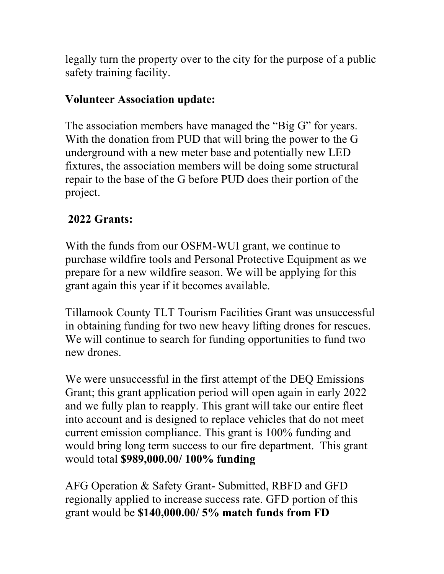legally turn the property over to the city for the purpose of a public safety training facility.

### **Volunteer Association update:**

The association members have managed the "Big G" for years. With the donation from PUD that will bring the power to the G underground with a new meter base and potentially new LED fixtures, the association members will be doing some structural repair to the base of the G before PUD does their portion of the project.

## **2022 Grants:**

With the funds from our OSFM-WUI grant, we continue to purchase wildfire tools and Personal Protective Equipment as we prepare for a new wildfire season. We will be applying for this grant again this year if it becomes available.

Tillamook County TLT Tourism Facilities Grant was unsuccessful in obtaining funding for two new heavy lifting drones for rescues. We will continue to search for funding opportunities to fund two new drones.

We were unsuccessful in the first attempt of the DEQ Emissions Grant; this grant application period will open again in early 2022 and we fully plan to reapply. This grant will take our entire fleet into account and is designed to replace vehicles that do not meet current emission compliance. This grant is 100% funding and would bring long term success to our fire department. This grant would total **\$989,000.00/ 100% funding**

AFG Operation & Safety Grant- Submitted, RBFD and GFD regionally applied to increase success rate. GFD portion of this grant would be **\$140,000.00/ 5% match funds from FD**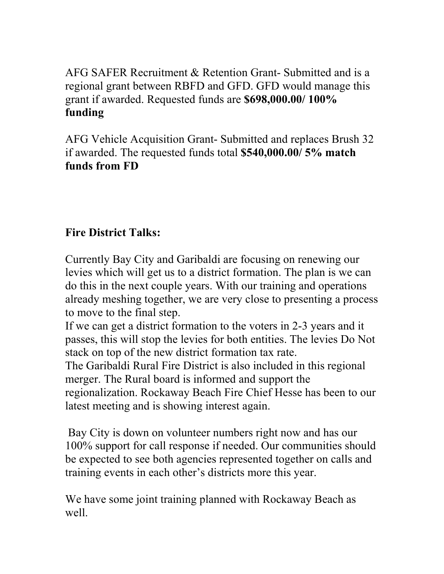AFG SAFER Recruitment & Retention Grant- Submitted and is a regional grant between RBFD and GFD. GFD would manage this grant if awarded. Requested funds are **\$698,000.00/ 100% funding**

AFG Vehicle Acquisition Grant- Submitted and replaces Brush 32 if awarded. The requested funds total **\$540,000.00/ 5% match funds from FD**

### **Fire District Talks:**

Currently Bay City and Garibaldi are focusing on renewing our levies which will get us to a district formation. The plan is we can do this in the next couple years. With our training and operations already meshing together, we are very close to presenting a process to move to the final step.

If we can get a district formation to the voters in 2-3 years and it passes, this will stop the levies for both entities. The levies Do Not stack on top of the new district formation tax rate.

The Garibaldi Rural Fire District is also included in this regional merger. The Rural board is informed and support the regionalization. Rockaway Beach Fire Chief Hesse has been to our latest meeting and is showing interest again.

Bay City is down on volunteer numbers right now and has our 100% support for call response if needed. Our communities should be expected to see both agencies represented together on calls and training events in each other's districts more this year.

We have some joint training planned with Rockaway Beach as well.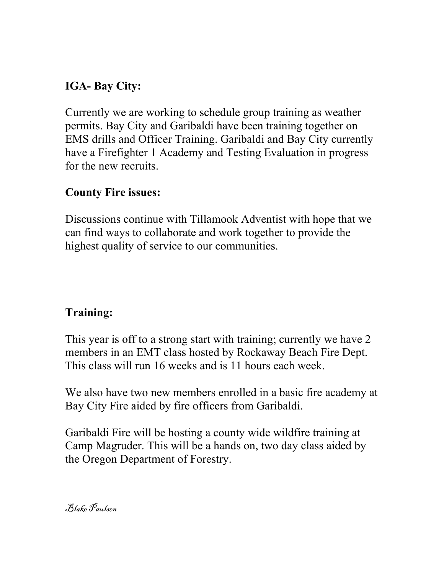## **IGA- Bay City:**

Currently we are working to schedule group training as weather permits. Bay City and Garibaldi have been training together on EMS drills and Officer Training. Garibaldi and Bay City currently have a Firefighter 1 Academy and Testing Evaluation in progress for the new recruits.

#### **County Fire issues:**

Discussions continue with Tillamook Adventist with hope that we can find ways to collaborate and work together to provide the highest quality of service to our communities.

## **Training:**

This year is off to a strong start with training; currently we have 2 members in an EMT class hosted by Rockaway Beach Fire Dept. This class will run 16 weeks and is 11 hours each week.

We also have two new members enrolled in a basic fire academy at Bay City Fire aided by fire officers from Garibaldi.

Garibaldi Fire will be hosting a county wide wildfire training at Camp Magruder. This will be a hands on, two day class aided by the Oregon Department of Forestry.

Blake Paulsen